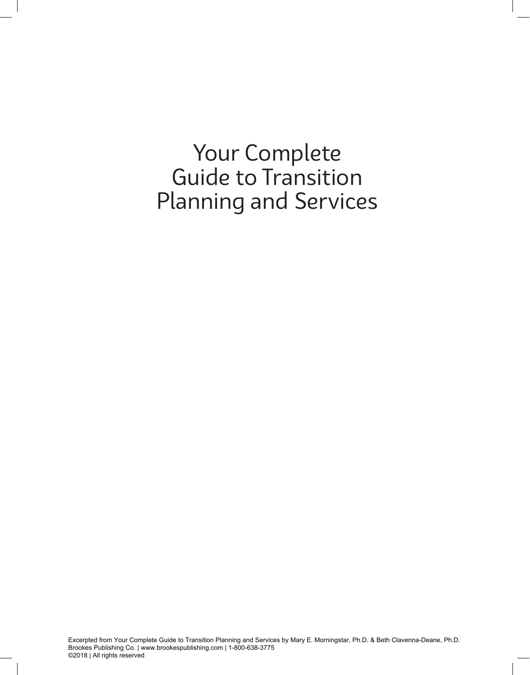Your Complete Guide to Transition Planning and Services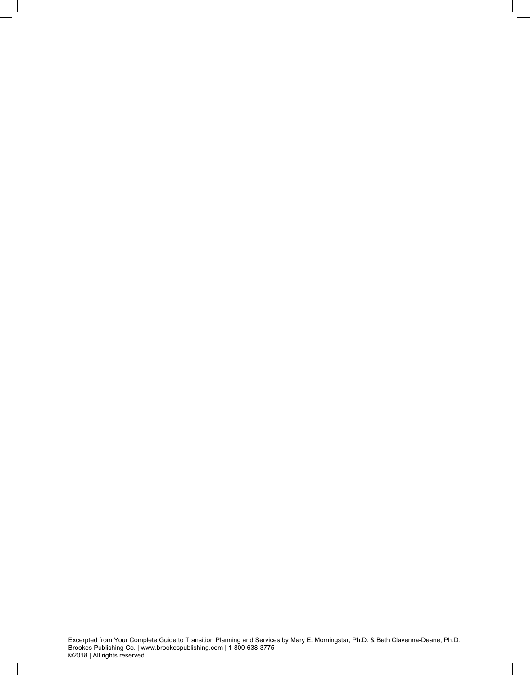Excerpted from Your Complete Guide to Transition Planning and Services by Mary E. Morningstar, Ph.D. & Beth Clavenna-Deane, Ph.D. Brookes Publishing Co. | www.brookespublishing.com | 1-800-638-3775 ©2018 | All rights reserved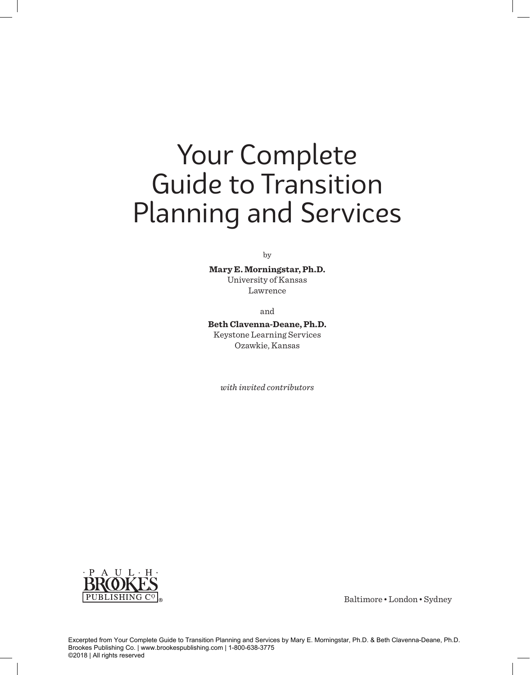# Your Complete Guide to Transition Planning and Services

by

**Mary E. Morningstar, Ph.D.** University of Kansas

Lawrence

and

**Beth Clavenna-Deane, Ph.D.** Keystone Learning Services Ozawkie, Kansas

*with invited contributors*



Baltimore • London • Sydney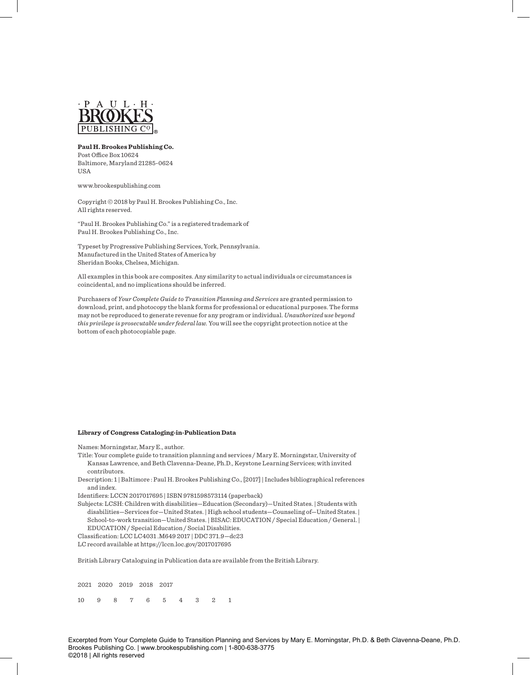

#### **Paul H. Brookes Publishing Co.**

Post Office Box 10624 Baltimore, Maryland 21285-0624 USA

www.brookespublishing.com

Copyright © 2018 by Paul H. Brookes Publishing Co., Inc. All rights reserved.

"Paul H. Brookes Publishing Co." is a registered trademark of Paul H. Brookes Publishing Co., Inc.

Typeset by Progressive Publishing Services, York, Pennsylvania. Manufactured in the United States of America by Sheridan Books, Chelsea, Michigan.

All examples in this book are composites. Any similarity to actual individuals or circumstances is coincidental, and no implications should be inferred.

Purchasers of *Your Complete Guide to Transition Planning and Services* are granted permission to download, print, and photocopy the blank forms for professional or educational purposes. The forms may not be reproduced to generate revenue for any program or individual. *Unauthorized use beyond this privilege is prosecutable under federal law.* You will see the copyright protection notice at the bottom of each photocopiable page.

#### **Library of Congress Cataloging-in-Publication Data**

Names: Morningstar, Mary E., author.

Title: Your complete guide to transition planning and services / Mary E. Morningstar, University of Kansas Lawrence, and Beth Clavenna-Deane, Ph.D., Keystone Learning Services; with invited contributors.

Description: 1 | Baltimore : Paul H. Brookes Publishing Co., [2017] | Includes bibliographical references and index.

Identifiers: LCCN 2017017695 | ISBN 9781598573114 (paperback)

Subjects: LCSH: Children with disabilities—Education (Secondary)—United States. | Students with disabilities—Services for—United States. | High school students—Counseling of—United States. | School-to-work transition—United States. | BISAC: EDUCATION / Special Education / General. | EDUCATION / Special Education / Social Disabilities.

Classification: LCC LC4031 .M649 2017 | DDC 371.9—dc23

LC record available at https://lccn.loc.gov/2017017695

British Library Cataloguing in Publication data are available from the British Library.

2021 2020 2019 2018 2017 10 9 8 7 6 5 4 3 2 1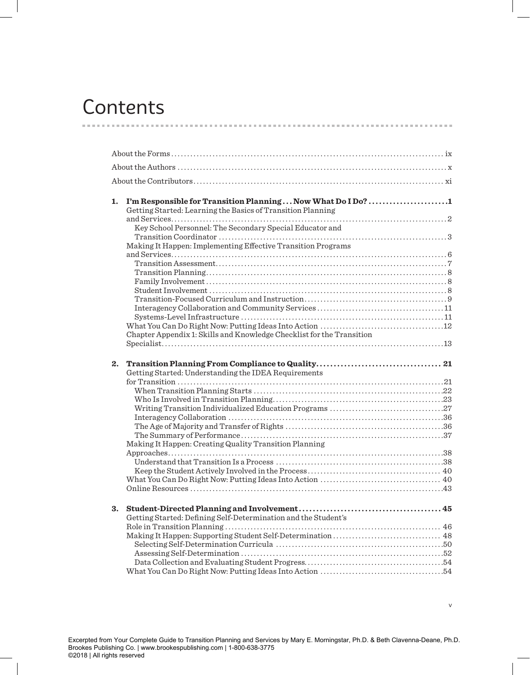# **Contents**

j.

| 1. | I'm Responsible for Transition Planning Now What Do I Do?1            |  |
|----|-----------------------------------------------------------------------|--|
|    | Getting Started: Learning the Basics of Transition Planning           |  |
|    | Key School Personnel: The Secondary Special Educator and              |  |
|    |                                                                       |  |
|    | Making It Happen: Implementing Effective Transition Programs          |  |
|    |                                                                       |  |
|    |                                                                       |  |
|    |                                                                       |  |
|    |                                                                       |  |
|    |                                                                       |  |
|    |                                                                       |  |
|    |                                                                       |  |
|    |                                                                       |  |
|    | Chapter Appendix 1: Skills and Knowledge Checklist for the Transition |  |
|    |                                                                       |  |
|    |                                                                       |  |
| 2. |                                                                       |  |
|    | Getting Started: Understanding the IDEA Requirements                  |  |
|    |                                                                       |  |
|    |                                                                       |  |
|    |                                                                       |  |
|    |                                                                       |  |
|    |                                                                       |  |
|    |                                                                       |  |
|    | Making It Happen: Creating Quality Transition Planning                |  |
|    |                                                                       |  |
|    |                                                                       |  |
|    |                                                                       |  |
|    |                                                                       |  |
|    |                                                                       |  |
| 3. |                                                                       |  |
|    | Getting Started: Defining Self-Determination and the Student's        |  |
|    |                                                                       |  |
|    |                                                                       |  |
|    |                                                                       |  |
|    |                                                                       |  |

v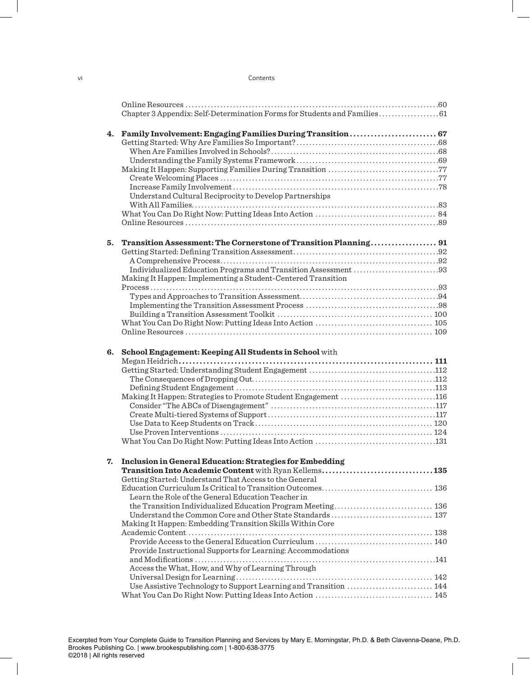#### vi Contents

|    | Chapter 3 Appendix: Self-Determination Forms for Students and Families 61 |
|----|---------------------------------------------------------------------------|
| 4. | Family Involvement: Engaging Families During Transition 67                |
|    |                                                                           |
|    |                                                                           |
|    |                                                                           |
|    |                                                                           |
|    |                                                                           |
|    |                                                                           |
|    | Understand Cultural Reciprocity to Develop Partnerships                   |
|    |                                                                           |
|    |                                                                           |
|    |                                                                           |
|    |                                                                           |
| 5. | Transition Assessment: The Cornerstone of Transition Planning 91          |
|    |                                                                           |
|    |                                                                           |
|    |                                                                           |
|    | Making It Happen: Implementing a Student-Centered Transition              |
|    |                                                                           |
|    |                                                                           |
|    |                                                                           |
|    |                                                                           |
|    |                                                                           |
|    |                                                                           |
|    |                                                                           |
|    |                                                                           |
| 6. | School Engagement: Keeping All Students in School with                    |
|    |                                                                           |
|    |                                                                           |
|    |                                                                           |
|    |                                                                           |
|    |                                                                           |
|    | Making It Happen: Strategies to Promote Student Engagement 116            |
|    |                                                                           |
|    |                                                                           |
|    |                                                                           |
|    |                                                                           |
|    |                                                                           |
|    |                                                                           |
| 7. | <b>Inclusion in General Education: Strategies for Embedding</b>           |
|    | Transition Into Academic Content with Ryan Kellems135                     |
|    | Getting Started: Understand That Access to the General                    |
|    |                                                                           |
|    | Learn the Role of the General Education Teacher in                        |
|    |                                                                           |
|    | the Transition Individualized Education Program Meeting 136               |
|    |                                                                           |
|    | Making It Happen: Embedding Transition Skills Within Core                 |
|    |                                                                           |
|    |                                                                           |
|    | Provide Instructional Supports for Learning: Accommodations               |
|    |                                                                           |
|    | Access the What, How, and Why of Learning Through                         |
|    |                                                                           |
|    | Use Assistive Technology to Support Learning and Transition  144          |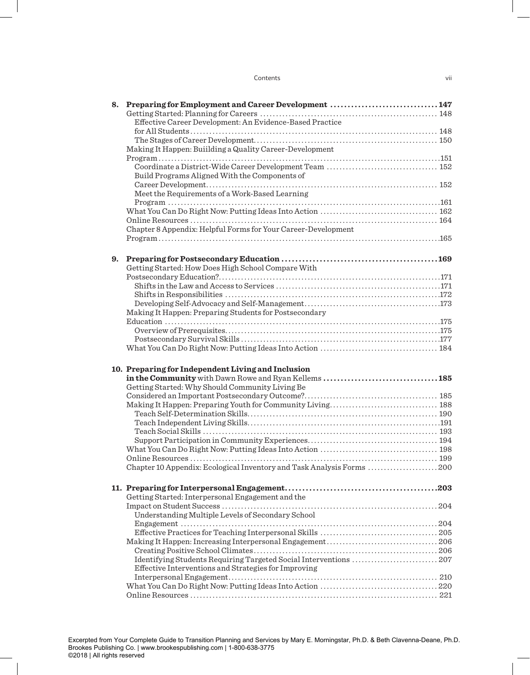#### Contents vii

| 8. | Preparing for Employment and Career Development 147<br>Effective Career Development: An Evidence-Based Practice |  |
|----|-----------------------------------------------------------------------------------------------------------------|--|
|    |                                                                                                                 |  |
|    |                                                                                                                 |  |
|    | Making It Happen: Buiilding a Quality Career-Development                                                        |  |
|    | Coordinate a District-Wide Career Development Team  152                                                         |  |
|    | Build Programs Aligned With the Components of                                                                   |  |
|    | Meet the Requirements of a Work-Based Learning                                                                  |  |
|    |                                                                                                                 |  |
|    |                                                                                                                 |  |
|    | Chapter 8 Appendix: Helpful Forms for Your Career-Development                                                   |  |
|    |                                                                                                                 |  |
|    |                                                                                                                 |  |
| 9. |                                                                                                                 |  |
|    | Getting Started: How Does High School Compare With                                                              |  |
|    |                                                                                                                 |  |
|    |                                                                                                                 |  |
|    |                                                                                                                 |  |
|    | Making It Happen: Preparing Students for Postsecondary                                                          |  |
|    |                                                                                                                 |  |
|    |                                                                                                                 |  |
|    |                                                                                                                 |  |
|    |                                                                                                                 |  |
|    |                                                                                                                 |  |
|    | 10. Preparing for Independent Living and Inclusion                                                              |  |
|    | in the Community with Dawn Rowe and Ryan Kellems 185                                                            |  |
|    | Getting Started: Why Should Community Living Be                                                                 |  |
|    |                                                                                                                 |  |
|    |                                                                                                                 |  |
|    |                                                                                                                 |  |
|    |                                                                                                                 |  |
|    |                                                                                                                 |  |
|    |                                                                                                                 |  |
|    |                                                                                                                 |  |
|    | Chapter 10 Appendix: Ecological Inventory and Task Analysis Forms 200                                           |  |
|    |                                                                                                                 |  |
|    | Getting Started: Interpersonal Engagement and the                                                               |  |
|    |                                                                                                                 |  |
|    | Understanding Multiple Levels of Secondary School                                                               |  |
|    |                                                                                                                 |  |
|    |                                                                                                                 |  |
|    |                                                                                                                 |  |
|    | Identifying Students Requiring Targeted Social Interventions  207                                               |  |
|    | Effective Interventions and Strategies for Improving                                                            |  |
|    |                                                                                                                 |  |
|    |                                                                                                                 |  |
|    |                                                                                                                 |  |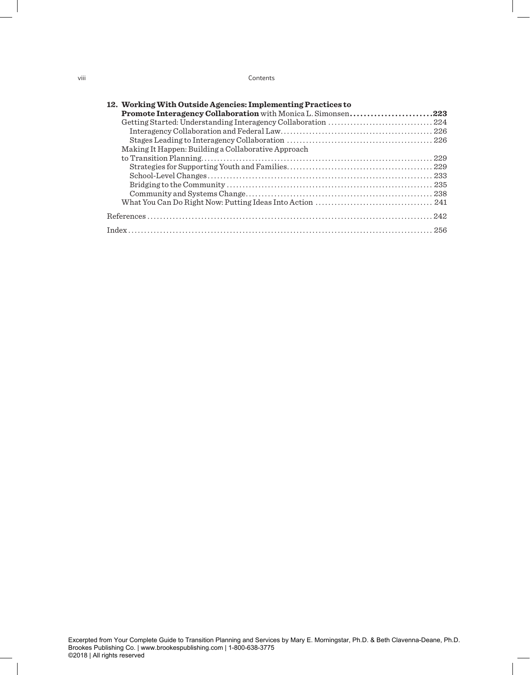#### viii Contents

| 12. Working With Outside Agencies: Implementing Practices to        |  |
|---------------------------------------------------------------------|--|
| <b>Promote Interagency Collaboration</b> with Monica L. Simonsen223 |  |
|                                                                     |  |
|                                                                     |  |
|                                                                     |  |
| Making It Happen: Building a Collaborative Approach                 |  |
|                                                                     |  |
|                                                                     |  |
|                                                                     |  |
|                                                                     |  |
|                                                                     |  |
|                                                                     |  |
|                                                                     |  |
|                                                                     |  |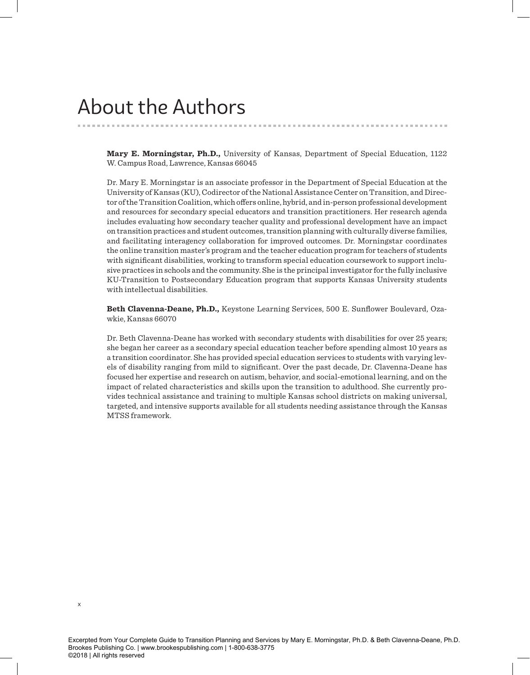# About the Authors

x

**Mary E. Morningstar, Ph.D.,** University of Kansas, Department of Special Education, 1122 W. Campus Road, Lawrence, Kansas 66045

Dr. Mary E. Morningstar is an associate professor in the Department of Special Education at the University of Kansas (KU), Codirector of the National Assistance Center on Transition, and Director of the Transition Coalition, which offers online, hybrid, and in-person professional development and resources for secondary special educators and transition practitioners. Her research agenda includes evaluating how secondary teacher quality and professional development have an impact on transition practices and student outcomes, transition planning with culturally diverse families, and facilitating interagency collaboration for improved outcomes. Dr. Morningstar coordinates the online transition master's program and the teacher education program for teachers of students with significant disabilities, working to transform special education coursework to support inclusive practices in schools and the community. She is the principal investigator for the fully inclusive KU-Transition to Postsecondary Education program that supports Kansas University students with intellectual disabilities.

**Beth Clavenna-Deane, Ph.D.,** Keystone Learning Services, 500 E. Sunflower Boulevard, Ozawkie, Kansas 66070

Dr. Beth Clavenna-Deane has worked with secondary students with disabilities for over 25 years; she began her career as a secondary special education teacher before spending almost 10 years as a transition coordinator. She has provided special education services to students with varying levels of disability ranging from mild to significant. Over the past decade, Dr. Clavenna-Deane has focused her expertise and research on autism, behavior, and social-emotional learning, and on the impact of related characteristics and skills upon the transition to adulthood. She currently provides technical assistance and training to multiple Kansas school districts on making universal, targeted, and intensive supports available for all students needing assistance through the Kansas MTSS framework.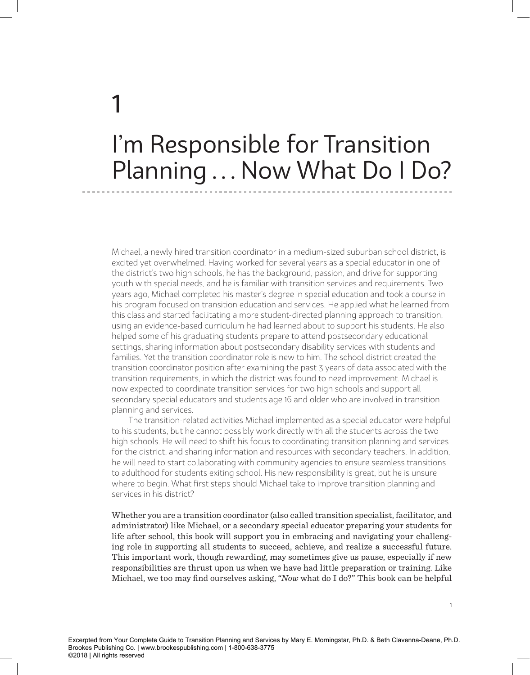# 1 I'm Responsible for Transition Planning ... Now What Do I Do?

Michael, a newly hired transition coordinator in a medium-sized suburban school district, is excited yet overwhelmed. Having worked for several years as a special educator in one of the district's two high schools, he has the background, passion, and drive for supporting youth with special needs, and he is familiar with transition services and requirements. Two years ago, Michael completed his master's degree in special education and took a course in his program focused on transition education and services. He applied what he learned from this class and started facilitating a more student-directed planning approach to transition, using an evidence-based curriculum he had learned about to support his students. He also helped some of his graduating students prepare to attend postsecondary educational settings, sharing information about postsecondary disability services with students and families. Yet the transition coordinator role is new to him. The school district created the transition coordinator position after examining the past 3 years of data associated with the transition requirements, in which the district was found to need improvement. Michael is now expected to coordinate transition services for two high schools and support all secondary special educators and students age 16 and older who are involved in transition planning and services.

The transition-related activities Michael implemented as a special educator were helpful to his students, but he cannot possibly work directly with all the students across the two high schools. He will need to shift his focus to coordinating transition planning and services for the district, and sharing information and resources with secondary teachers. In addition, he will need to start collaborating with community agencies to ensure seamless transitions to adulthood for students exiting school. His new responsibility is great, but he is unsure where to begin. What first steps should Michael take to improve transition planning and services in his district?

Whether you are a transition coordinator (also called transition specialist, facilitator, and administrator) like Michael, or a secondary special educator preparing your students for life after school, this book will support you in embracing and navigating your challenging role in supporting all students to succeed, achieve, and realize a successful future. This important work, though rewarding, may sometimes give us pause, especially if new responsibilities are thrust upon us when we have had little preparation or training. Like Michael, we too may find ourselves asking, "*Now* what do I do?" This book can be helpful

1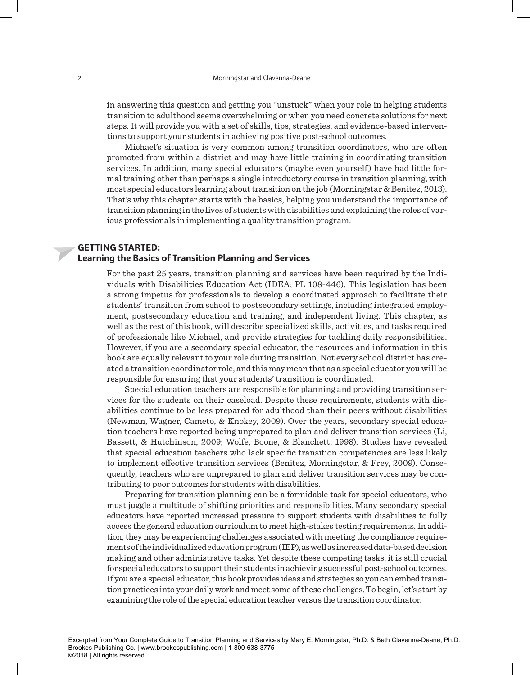in answering this question and getting you "unstuck" when your role in helping students transition to adulthood seems overwhelming or when you need concrete solutions for next steps. It will provide you with a set of skills, tips, strategies, and evidence-based interventions to support your students in achieving positive post-school outcomes.

Michael's situation is very common among transition coordinators, who are often promoted from within a district and may have little training in coordinating transition services. In addition, many special educators (maybe even yourself) have had little formal training other than perhaps a single introductory course in transition planning, with most special educators learning about transition on the job (Morningstar & Benitez, 2013). That's why this chapter starts with the basics, helping you understand the importance of transition planning in the lives of students with disabilities and explaining the roles of various professionals in implementing a quality transition program.

# **GETTING STARTED: Learning the Basics of Transition Planning and Services**

For the past 25 years, transition planning and services have been required by the Individuals with Disabilities Education Act (IDEA; PL 108-446). This legislation has been a strong impetus for professionals to develop a coordinated approach to facilitate their students' transition from school to postsecondary settings, including integrated employment, postsecondary education and training, and independent living. This chapter, as well as the rest of this book, will describe specialized skills, activities, and tasks required of professionals like Michael, and provide strategies for tackling daily responsibilities. However, if you are a secondary special educator, the resources and information in this book are equally relevant to your role during transition. Not every school district has created a transition coordinator role, and this may mean that as a special educator you will be responsible for ensuring that your students' transition is coordinated.

Special education teachers are responsible for planning and providing transition services for the students on their caseload. Despite these requirements, students with disabilities continue to be less prepared for adulthood than their peers without disabilities (Newman, Wagner, Cameto, & Knokey, 2009). Over the years, secondary special education teachers have reported being unprepared to plan and deliver transition services (Li, Bassett, & Hutchinson, 2009; Wolfe, Boone, & Blanchett, 1998). Studies have revealed that special education teachers who lack specific transition competencies are less likely to implement effective transition services (Benitez, Morningstar, & Frey, 2009). Consequently, teachers who are unprepared to plan and deliver transition services may be contributing to poor outcomes for students with disabilities.

Preparing for transition planning can be a formidable task for special educators, who must juggle a multitude of shifting priorities and responsibilities. Many secondary special educators have reported increased pressure to support students with disabilities to fully access the general education curriculum to meet high-stakes testing requirements. In addition, they may be experiencing challenges associated with meeting the compliance requirements of the individualized education program (IEP), as well as increased data-based decision making and other administrative tasks. Yet despite these competing tasks, it is still crucial for special educators to support their students in achieving successful post-school outcomes. If you are a special educator, this book provides ideas and strategies so you can embed transition practices into your daily work and meet some of these challenges. To begin, let's start by examining the role of the special education teacher versus the transition coordinator.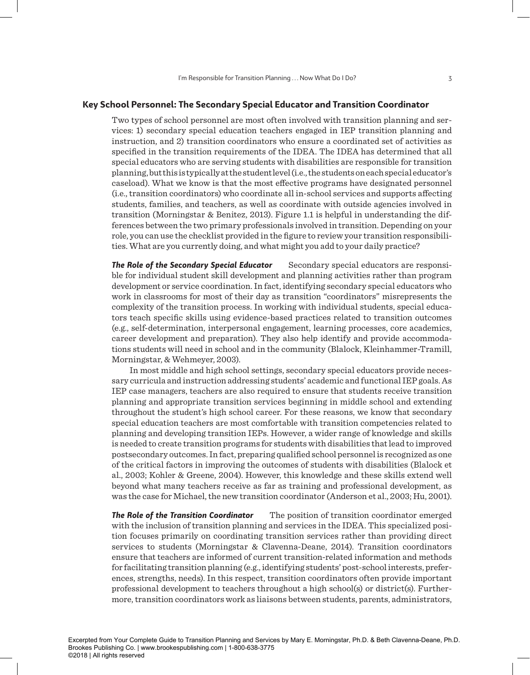## **Key School Personnel: The Secondary Special Educator and Transition Coordinator**

Two types of school personnel are most often involved with transition planning and services: 1) secondary special education teachers engaged in IEP transition planning and instruction, and 2) transition coordinators who ensure a coordinated set of activities as specified in the transition requirements of the IDEA. The IDEA has determined that all special educators who are serving students with disabilities are responsible for transition planning, but this is typically at the student level (i.e., the students on each special educator's caseload). What we know is that the most effective programs have designated personnel (i.e., transition coordinators) who coordinate all in-school services and supports affecting students, families, and teachers, as well as coordinate with outside agencies involved in transition (Morningstar & Benitez, 2013). Figure 1.1 is helpful in understanding the differences between the two primary professionals involved in transition. Depending on your role, you can use the checklist provided in the figure to review your transition responsibilities. What are you currently doing, and what might you add to your daily practice?

**The Role of the Secondary Special Educator** Secondary special educators are responsible for individual student skill development and planning activities rather than program development or service coordination. In fact, identifying secondary special educators who work in classrooms for most of their day as transition "coordinators" misrepresents the complexity of the transition process. In working with individual students, special educators teach specific skills using evidence-based practices related to transition outcomes (e.g., self-determination, interpersonal engagement, learning processes, core academics, career development and preparation). They also help identify and provide accommodations students will need in school and in the community (Blalock, Kleinhammer-Tramill, Morningstar, & Wehmeyer, 2003).

In most middle and high school settings, secondary special educators provide necessary curricula and instruction addressing students' academic and functional IEP goals. As IEP case managers, teachers are also required to ensure that students receive transition planning and appropriate transition services beginning in middle school and extending throughout the student's high school career. For these reasons, we know that secondary special education teachers are most comfortable with transition competencies related to planning and developing transition IEPs. However, a wider range of knowledge and skills is needed to create transition programs for students with disabilities that lead to improved postsecondary outcomes. In fact, preparing qualified school personnel is recognized as one of the critical factors in improving the outcomes of students with disabilities (Blalock et al., 2003; Kohler & Greene, 2004). However, this knowledge and these skills extend well beyond what many teachers receive as far as training and professional development, as was the case for Michael, the new transition coordinator (Anderson et al., 2003; Hu, 2001).

**The Role of the Transition Coordinator** The position of transition coordinator emerged with the inclusion of transition planning and services in the IDEA. This specialized position focuses primarily on coordinating transition services rather than providing direct services to students (Morningstar & Clavenna-Deane, 2014). Transition coordinators ensure that teachers are informed of current transition-related information and methods for facilitating transition planning (e.g., identifying students' post-school interests, preferences, strengths, needs). In this respect, transition coordinators often provide important professional development to teachers throughout a high school(s) or district(s). Furthermore, transition coordinators work as liaisons between students, parents, administrators,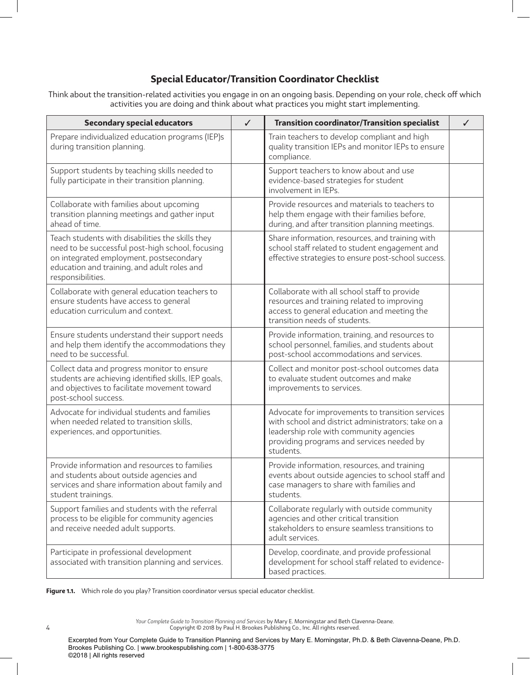# **Special Educator/Transition Coordinator Checklist**

Think about the transition-related activities you engage in on an ongoing basis. Depending on your role, check off which activities you are doing and think about what practices you might start implementing.

| <b>Secondary special educators</b>                                                                                                                                                                                  | $\checkmark$ | <b>Transition coordinator/Transition specialist</b>                                                                                                                                                         | ✓ |
|---------------------------------------------------------------------------------------------------------------------------------------------------------------------------------------------------------------------|--------------|-------------------------------------------------------------------------------------------------------------------------------------------------------------------------------------------------------------|---|
| Prepare individualized education programs (IEP)s<br>during transition planning.                                                                                                                                     |              | Train teachers to develop compliant and high<br>quality transition IEPs and monitor IEPs to ensure<br>compliance.                                                                                           |   |
| Support students by teaching skills needed to<br>fully participate in their transition planning.                                                                                                                    |              | Support teachers to know about and use<br>evidence-based strategies for student<br>involvement in IEPs.                                                                                                     |   |
| Collaborate with families about upcoming<br>transition planning meetings and gather input<br>ahead of time.                                                                                                         |              | Provide resources and materials to teachers to<br>help them engage with their families before,<br>during, and after transition planning meetings.                                                           |   |
| Teach students with disabilities the skills they<br>need to be successful post-high school, focusing<br>on integrated employment, postsecondary<br>education and training, and adult roles and<br>responsibilities. |              | Share information, resources, and training with<br>school staff related to student engagement and<br>effective strategies to ensure post-school success.                                                    |   |
| Collaborate with general education teachers to<br>ensure students have access to general<br>education curriculum and context.                                                                                       |              | Collaborate with all school staff to provide<br>resources and training related to improving<br>access to general education and meeting the<br>transition needs of students.                                 |   |
| Ensure students understand their support needs<br>and help them identify the accommodations they<br>need to be successful.                                                                                          |              | Provide information, training, and resources to<br>school personnel, families, and students about<br>post-school accommodations and services.                                                               |   |
| Collect data and progress monitor to ensure<br>students are achieving identified skills, IEP goals,<br>and objectives to facilitate movement toward<br>post-school success.                                         |              | Collect and monitor post-school outcomes data<br>to evaluate student outcomes and make<br>improvements to services.                                                                                         |   |
| Advocate for individual students and families<br>when needed related to transition skills,<br>experiences, and opportunities.                                                                                       |              | Advocate for improvements to transition services<br>with school and district administrators; take on a<br>leadership role with community agencies<br>providing programs and services needed by<br>students. |   |
| Provide information and resources to families<br>and students about outside agencies and<br>services and share information about family and<br>student trainings.                                                   |              | Provide information, resources, and training<br>events about outside agencies to school staff and<br>case managers to share with families and<br>students.                                                  |   |
| Support families and students with the referral<br>process to be eligible for community agencies<br>and receive needed adult supports.                                                                              |              | Collaborate regularly with outside community<br>agencies and other critical transition<br>stakeholders to ensure seamless transitions to<br>adult services.                                                 |   |
| Participate in professional development<br>associated with transition planning and services.                                                                                                                        |              | Develop, coordinate, and provide professional<br>development for school staff related to evidence-<br>based practices.                                                                                      |   |



4

Excerpted from Your Complete Guide to Transition Planning and Services by Mary E. Morningstar, Ph.D. & Beth Clavenna-Deane, Ph.D. Brookes Publishing Co. | www.brookespublishing.com | 1-800-638-3775 ©2018 | All rights reserved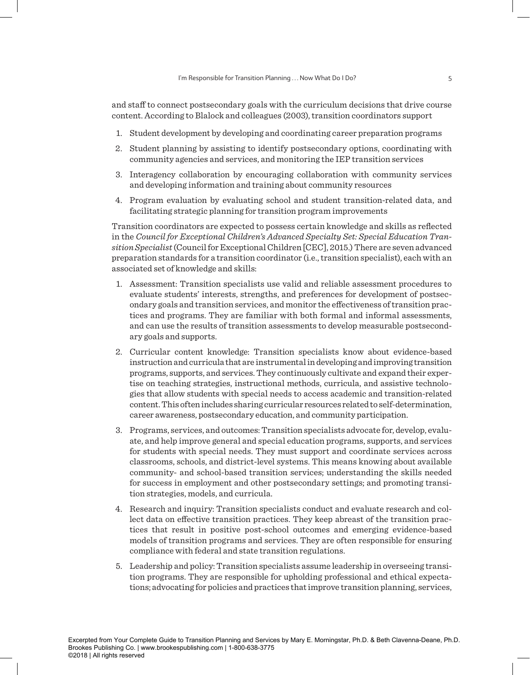and staff to connect postsecondary goals with the curriculum decisions that drive course content. According to Blalock and colleagues (2003), transition coordinators support

- 1. Student development by developing and coordinating career preparation programs
- 2. Student planning by assisting to identify postsecondary options, coordinating with community agencies and services, and monitoring the IEP transition services
- 3. Interagency collaboration by encouraging collaboration with community services and developing information and training about community resources
- 4. Program evaluation by evaluating school and student transition-related data, and facilitating strategic planning for transition program improvements

Transition coordinators are expected to possess certain knowledge and skills as reflected in the *Council for Exceptional Children's Advanced Specialty Set: Special Education Transition Specialist* (Council for Exceptional Children [CEC], 2015.) There are seven advanced preparation standards for a transition coordinator (i.e., transition specialist), each with an associated set of knowledge and skills:

- 1. Assessment: Transition specialists use valid and reliable assessment procedures to evaluate students' interests, strengths, and preferences for development of postsecondary goals and transition services, and monitor the effectiveness of transition practices and programs. They are familiar with both formal and informal assessments, and can use the results of transition assessments to develop measurable postsecondary goals and supports.
- 2. Curricular content knowledge: Transition specialists know about evidence-based instruction and curricula that are instrumental in developing and improving transition programs, supports, and services. They continuously cultivate and expand their expertise on teaching strategies, instructional methods, curricula, and assistive technologies that allow students with special needs to access academic and transition-related content. This often includes sharing curricular resources related to self-determination, career awareness, postsecondary education, and community participation.
- 3. Programs, services, and outcomes: Transition specialists advocate for, develop, evaluate, and help improve general and special education programs, supports, and services for students with special needs. They must support and coordinate services across classrooms, schools, and district-level systems. This means knowing about available community- and school-based transition services; understanding the skills needed for success in employment and other postsecondary settings; and promoting transition strategies, models, and curricula.
- 4. Research and inquiry: Transition specialists conduct and evaluate research and collect data on effective transition practices. They keep abreast of the transition practices that result in positive post-school outcomes and emerging evidence-based models of transition programs and services. They are often responsible for ensuring compliance with federal and state transition regulations.
- 5. Leadership and policy: Transition specialists assume leadership in overseeing transition programs. They are responsible for upholding professional and ethical expectations; advocating for policies and practices that improve transition planning, services,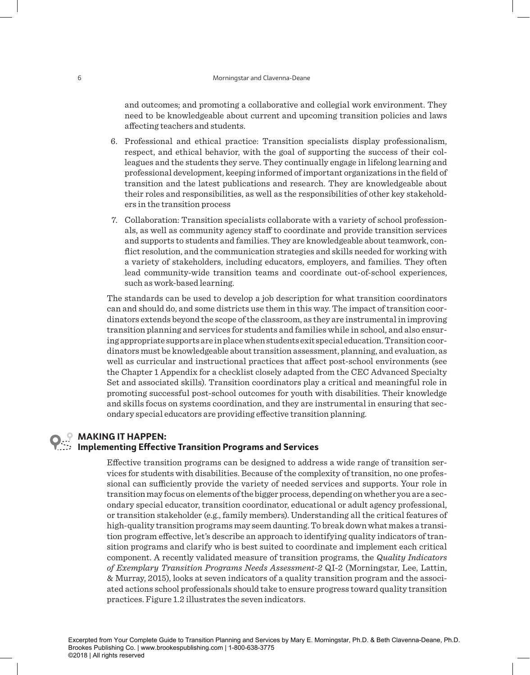and outcomes; and promoting a collaborative and collegial work environment. They need to be knowledgeable about current and upcoming transition policies and laws affecting teachers and students.

- 6. Professional and ethical practice: Transition specialists display professionalism, respect, and ethical behavior, with the goal of supporting the success of their colleagues and the students they serve. They continually engage in lifelong learning and professional development, keeping informed of important organizations in the field of transition and the latest publications and research. They are knowledgeable about their roles and responsibilities, as well as the responsibilities of other key stakeholders in the transition process
- 7. Collaboration: Transition specialists collaborate with a variety of school professionals, as well as community agency staff to coordinate and provide transition services and supports to students and families. They are knowledgeable about teamwork, conflict resolution, and the communication strategies and skills needed for working with a variety of stakeholders, including educators, employers, and families. They often lead community-wide transition teams and coordinate out-of-school experiences, such as work-based learning.

The standards can be used to develop a job description for what transition coordinators can and should do, and some districts use them in this way. The impact of transition coordinators extends beyond the scope of the classroom, as they are instrumental in improving transition planning and services for students and families while in school, and also ensuring appropriate supports are in place when students exit special education. Transition coordinators must be knowledgeable about transition assessment, planning, and evaluation, as well as curricular and instructional practices that affect post-school environments (see the Chapter 1 Appendix for a checklist closely adapted from the CEC Advanced Specialty Set and associated skills). Transition coordinators play a critical and meaningful role in promoting successful post-school outcomes for youth with disabilities. Their knowledge and skills focus on systems coordination, and they are instrumental in ensuring that secondary special educators are providing effective transition planning.

# **MAKING IT HAPPEN: Implementing Effective Transition Programs and Services**

Effective transition programs can be designed to address a wide range of transition services for students with disabilities. Because of the complexity of transition, no one professional can sufficiently provide the variety of needed services and supports. Your role in transition may focus on elements of the bigger process, depending on whether you are a secondary special educator, transition coordinator, educational or adult agency professional, or transition stakeholder (e.g., family members). Understanding all the critical features of high-quality transition programs may seem daunting. To break down what makes a transition program effective, let's describe an approach to identifying quality indicators of transition programs and clarify who is best suited to coordinate and implement each critical component. A recently validated measure of transition programs, the *Quality Indicators of Exemplary Transition Programs Needs Assessment-2* QI-2 (Morningstar, Lee, Lattin, & Murray, 2015), looks at seven indicators of a quality transition program and the associated actions school professionals should take to ensure progress toward quality transition practices. Figure 1.2 illustrates the seven indicators.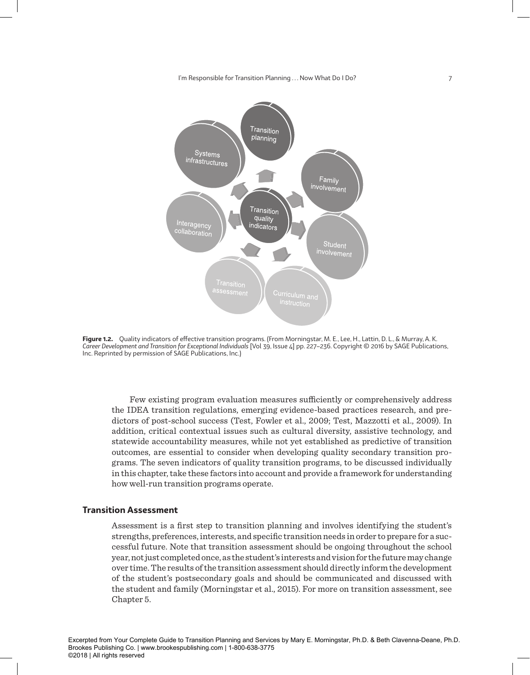I'm Responsible for Transition Planning . . . Now What Do I Do? 7



**Figure 1.2.** Quality indicators of effective transition programs. (From Morningstar, M. E., Lee, H., Lattin, D. L., & Murray, A. K. *Career Development and Transition for Exceptional Individuals* [Vol 39, Issue 4] pp. 227–236. Copyright © 2016 by SAGE Publications, Inc. Reprinted by permission of SAGE Publications, Inc.)

Few existing program evaluation measures sufficiently or comprehensively address the IDEA transition regulations, emerging evidence-based practices research, and predictors of post-school success (Test, Fowler et al., 2009; Test, Mazzotti et al., 2009). In addition, critical contextual issues such as cultural diversity, assistive technology, and statewide accountability measures, while not yet established as predictive of transition outcomes, are essential to consider when developing quality secondary transition programs. The seven indicators of quality transition programs, to be discussed individually in this chapter, take these factors into account and provide a framework for understanding how well-run transition programs operate.

# **Transition Assessment**

Assessment is a first step to transition planning and involves identifying the student's strengths, preferences, interests, and specific transition needs in order to prepare for a successful future. Note that transition assessment should be ongoing throughout the school year, not just completed once, as the student's interests and vision for the future may change over time. The results of the transition assessment should directly inform the development of the student's postsecondary goals and should be communicated and discussed with the student and family (Morningstar et al., 2015). For more on transition assessment, see Chapter 5.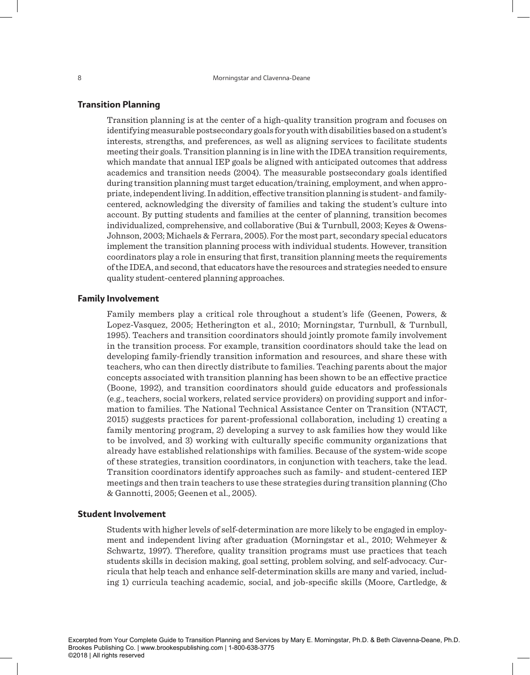# **Transition Planning**

Transition planning is at the center of a high-quality transition program and focuses on identifying measurable postsecondary goals for youth with disabilities based on a student's interests, strengths, and preferences, as well as aligning services to facilitate students meeting their goals. Transition planning is in line with the IDEA transition requirements, which mandate that annual IEP goals be aligned with anticipated outcomes that address academics and transition needs (2004). The measurable postsecondary goals identified during transition planning must target education/training, employment, and when appropriate, independent living. In addition, effective transition planning is student- and familycentered, acknowledging the diversity of families and taking the student's culture into account. By putting students and families at the center of planning, transition becomes individualized, comprehensive, and collaborative (Bui & Turnbull, 2003; Keyes & Owens-Johnson, 2003; Michaels & Ferrara, 2005). For the most part, secondary special educators implement the transition planning process with individual students. However, transition coordinators play a role in ensuring that first, transition planning meets the requirements of the IDEA, and second, that educators have the resources and strategies needed to ensure quality student-centered planning approaches.

### **Family Involvement**

Family members play a critical role throughout a student's life (Geenen, Powers, & Lopez-Vasquez, 2005; Hetherington et al., 2010; Morningstar, Turnbull, & Turnbull, 1995). Teachers and transition coordinators should jointly promote family involvement in the transition process. For example, transition coordinators should take the lead on developing family-friendly transition information and resources, and share these with teachers, who can then directly distribute to families. Teaching parents about the major concepts associated with transition planning has been shown to be an effective practice (Boone, 1992), and transition coordinators should guide educators and professionals (e.g., teachers, social workers, related service providers) on providing support and information to families. The National Technical Assistance Center on Transition (NTACT, 2015) suggests practices for parent-professional collaboration, including 1) creating a family mentoring program, 2) developing a survey to ask families how they would like to be involved, and 3) working with culturally specific community organizations that already have established relationships with families. Because of the system-wide scope of these strategies, transition coordinators, in conjunction with teachers, take the lead. Transition coordinators identify approaches such as family- and student-centered IEP meetings and then train teachers to use these strategies during transition planning (Cho & Gannotti, 2005; Geenen et al., 2005).

### **Student Involvement**

Students with higher levels of self-determination are more likely to be engaged in employment and independent living after graduation (Morningstar et al., 2010; Wehmeyer & Schwartz, 1997). Therefore, quality transition programs must use practices that teach students skills in decision making, goal setting, problem solving, and self-advocacy. Curricula that help teach and enhance self-determination skills are many and varied, including 1) curricula teaching academic, social, and job-specific skills (Moore, Cartledge, &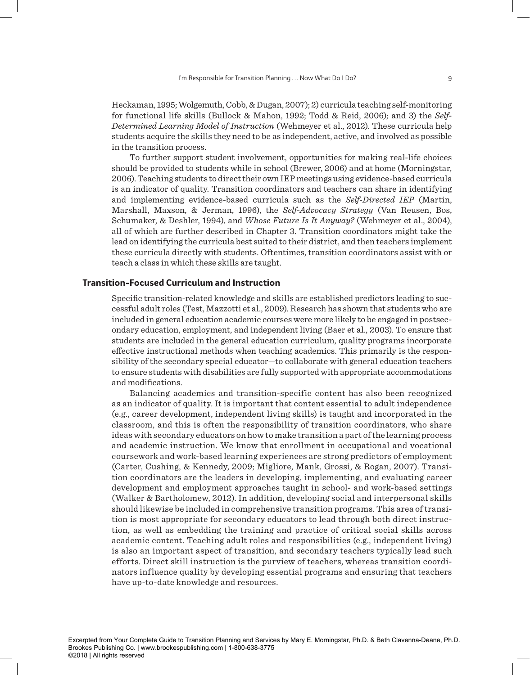Heckaman, 1995; Wolgemuth, Cobb, & Dugan, 2007); 2) curricula teaching self-monitoring for functional life skills (Bullock & Mahon, 1992; Todd & Reid, 2006); and 3) the *Self-Determined Learning Model of Instruction* (Wehmeyer et al., 2012). These curricula help students acquire the skills they need to be as independent, active, and involved as possible in the transition process.

To further support student involvement, opportunities for making real-life choices should be provided to students while in school (Brewer, 2006) and at home (Morningstar, 2006). Teaching students to direct their own IEP meetings using evidence-based curricula is an indicator of quality. Transition coordinators and teachers can share in identifying and implementing evidence-based curricula such as the *Self-Directed IEP* (Martin, Marshall, Maxson, & Jerman, 1996), the *Self-Advocacy Strategy* (Van Reusen, Bos, Schumaker, & Deshler, 1994), and *Whose Future Is It Anyway?* (Wehmeyer et al., 2004), all of which are further described in Chapter 3. Transition coordinators might take the lead on identifying the curricula best suited to their district, and then teachers implement these curricula directly with students. Oftentimes, transition coordinators assist with or teach a class in which these skills are taught.

# **Transition-Focused Curriculum and Instruction**

Specific transition-related knowledge and skills are established predictors leading to successful adult roles (Test, Mazzotti et al., 2009). Research has shown that students who are included in general education academic courses were more likely to be engaged in postsecondary education, employment, and independent living (Baer et al., 2003). To ensure that students are included in the general education curriculum, quality programs incorporate effective instructional methods when teaching academics. This primarily is the responsibility of the secondary special educator—to collaborate with general education teachers to ensure students with disabilities are fully supported with appropriate accommodations and modifications.

Balancing academics and transition-specific content has also been recognized as an indicator of quality. It is important that content essential to adult independence (e.g., career development, independent living skills) is taught and incorporated in the classroom, and this is often the responsibility of transition coordinators, who share ideas with secondary educators on how to make transition a part of the learning process and academic instruction. We know that enrollment in occupational and vocational coursework and work-based learning experiences are strong predictors of employment (Carter, Cushing, & Kennedy, 2009; Migliore, Mank, Grossi, & Rogan, 2007). Transition coordinators are the leaders in developing, implementing, and evaluating career development and employment approaches taught in school- and work-based settings (Walker & Bartholomew, 2012). In addition, developing social and interpersonal skills should likewise be included in comprehensive transition programs. This area of transition is most appropriate for secondary educators to lead through both direct instruction, as well as embedding the training and practice of critical social skills across academic content. Teaching adult roles and responsibilities (e.g., independent living) is also an important aspect of transition, and secondary teachers typically lead such efforts. Direct skill instruction is the purview of teachers, whereas transition coordinators influence quality by developing essential programs and ensuring that teachers have up-to-date knowledge and resources.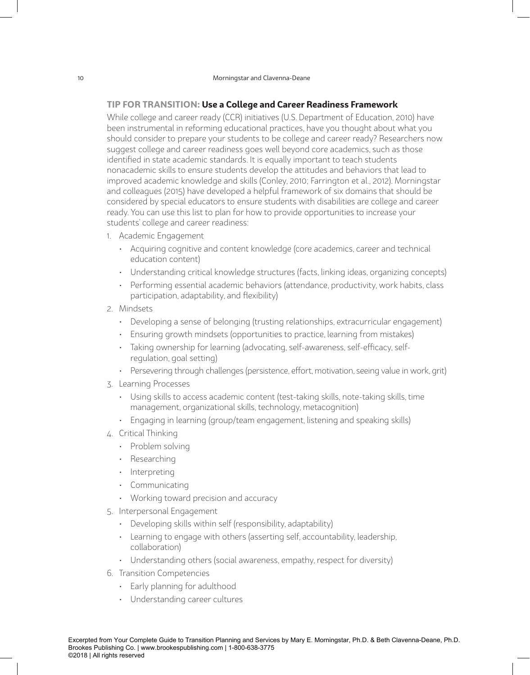# **TIP FOR TRANSITION: Use a College and Career Readiness Framework**

While college and career ready (CCR) initiatives (U.S. Department of Education, 2010) have been instrumental in reforming educational practices, have you thought about what you should consider to prepare your students to be college and career ready? Researchers now suggest college and career readiness goes well beyond core academics, such as those identified in state academic standards. It is equally important to teach students nonacademic skills to ensure students develop the attitudes and behaviors that lead to improved academic knowledge and skills (Conley, 2010; Farrington et al., 2012). Morningstar and colleagues (2015) have developed a helpful framework of six domains that should be considered by special educators to ensure students with disabilities are college and career ready. You can use this list to plan for how to provide opportunities to increase your students' college and career readiness:

- 1. Academic Engagement
	- Acquiring cognitive and content knowledge (core academics, career and technical education content)
	- Understanding critical knowledge structures (facts, linking ideas, organizing concepts)
	- Performing essential academic behaviors (attendance, productivity, work habits, class participation, adaptability, and flexibility)
- 2. Mindsets
	- Developing a sense of belonging (trusting relationships, extracurricular engagement)
	- Ensuring growth mindsets (opportunities to practice, learning from mistakes)
	- Taking ownership for learning (advocating, self-awareness, self-efficacy, selfregulation, goal setting)
	- Persevering through challenges (persistence, effort, motivation, seeing value in work, grit)
- 3. Learning Processes
	- Using skills to access academic content (test-taking skills, note-taking skills, time management, organizational skills, technology, metacognition)
	- Engaging in learning (group/team engagement, listening and speaking skills)
- 4. Critical Thinking
	- Problem solving
	- Researching
	- Interpreting
	- Communicating
	- Working toward precision and accuracy
- 5. Interpersonal Engagement
	- Developing skills within self (responsibility, adaptability)
	- Learning to engage with others (asserting self, accountability, leadership, collaboration)
	- Understanding others (social awareness, empathy, respect for diversity)
- 6. Transition Competencies
	- Early planning for adulthood
	- • Understanding career cultures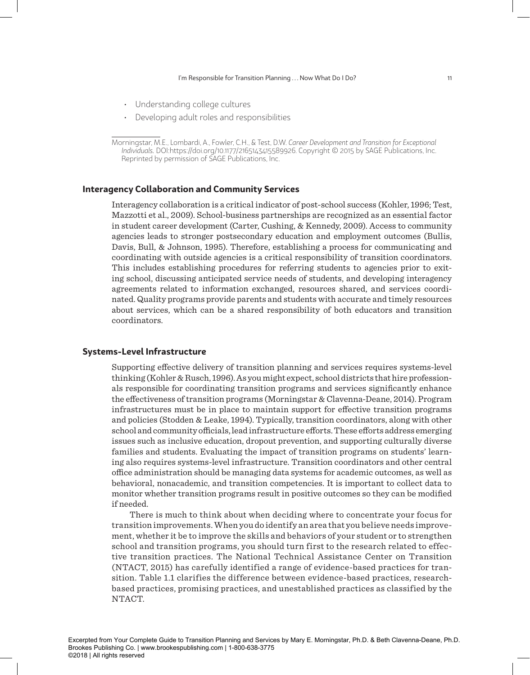- • Understanding college cultures
- • Developing adult roles and responsibilities

# **Interagency Collaboration and Community Services**

Interagency collaboration is a critical indicator of post-school success (Kohler, 1996; Test, Mazzotti et al., 2009). School-business partnerships are recognized as an essential factor in student career development (Carter, Cushing, & Kennedy, 2009). Access to community agencies leads to stronger postsecondary education and employment outcomes (Bullis, Davis, Bull, & Johnson, 1995). Therefore, establishing a process for communicating and coordinating with outside agencies is a critical responsibility of transition coordinators. This includes establishing procedures for referring students to agencies prior to exiting school, discussing anticipated service needs of students, and developing interagency agreements related to information exchanged, resources shared, and services coordinated. Quality programs provide parents and students with accurate and timely resources about services, which can be a shared responsibility of both educators and transition coordinators.

# **Systems-Level Infrastructure**

Supporting effective delivery of transition planning and services requires systems-level thinking (Kohler & Rusch, 1996). As you might expect, school districts that hire professionals responsible for coordinating transition programs and services significantly enhance the effectiveness of transition programs (Morningstar & Clavenna-Deane, 2014). Program infrastructures must be in place to maintain support for effective transition programs and policies (Stodden & Leake, 1994). Typically, transition coordinators, along with other school and community officials, lead infrastructure efforts. These efforts address emerging issues such as inclusive education, dropout prevention, and supporting culturally diverse families and students. Evaluating the impact of transition programs on students' learning also requires systems-level infrastructure. Transition coordinators and other central office administration should be managing data systems for academic outcomes, as well as behavioral, nonacademic, and transition competencies. It is important to collect data to monitor whether transition programs result in positive outcomes so they can be modified if needed.

There is much to think about when deciding where to concentrate your focus for transition improvements. When you do identify an area that you believe needs improvement, whether it be to improve the skills and behaviors of your student or to strengthen school and transition programs, you should turn first to the research related to effective transition practices. The National Technical Assistance Center on Transition (NTACT, 2015) has carefully identified a range of evidence-based practices for transition. Table 1.1 clarifies the difference between evidence-based practices, researchbased practices, promising practices, and unestablished practices as classified by the NTACT.

Morningstar, M.E., Lombardi, A., Fowler, C.H., & Test, D.W. *Career Development and Transition for Exceptional Individuals.* DOI:https://doi.org/10.1177/2165143415589926. Copyright © 2015 by SAGE Publications, Inc. Reprinted by permission of SAGE Publications, Inc.